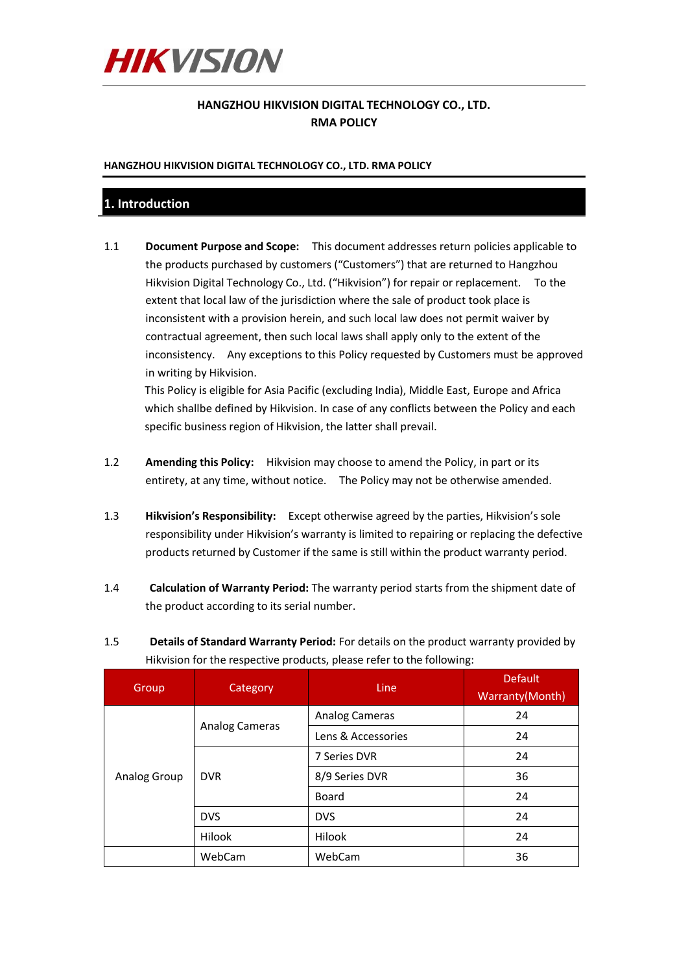

## **HANGZHOU HIKVISION DIGITAL TECHNOLOGY CO., LTD. RMA POLICY**

## **HANGZHOU HIKVISION DIGITAL TECHNOLOGY CO., LTD. RMA POLICY**

## **1. Introduction**

1.1 **Document Purpose and Scope:** This document addresses return policies applicable to the products purchased by customers ("Customers") that are returned to Hangzhou Hikvision Digital Technology Co., Ltd. ("Hikvision") for repair or replacement. To the extent that local law of the jurisdiction where the sale of product took place is inconsistent with a provision herein, and such local law does not permit waiver by contractual agreement, then such local laws shall apply only to the extent of the inconsistency. Any exceptions to this Policy requested by Customers must be approved in writing by Hikvision.

This Policy is eligible for Asia Pacific (excluding India), Middle East, Europe and Africa which shallbe defined by Hikvision. In case of any conflicts between the Policy and each specific business region of Hikvision, the latter shall prevail.

- 1.2 **Amending this Policy:** Hikvision may choose to amend the Policy, in part or its entirety, at any time, without notice. The Policy may not be otherwise amended.
- 1.3 **Hikvision's Responsibility:** Except otherwise agreed by the parties, Hikvision's sole responsibility under Hikvision's warranty is limited to repairing or replacing the defective products returned by Customer if the same is still within the product warranty period.
- 1.4 **Calculation of Warranty Period:** The warranty period starts from the shipment date of the product according to its serial number.
- 1.5 **Details of Standard Warranty Period:** For details on the product warranty provided by Hikvision for the respective products, please refer to the following:

| Group        | Category       | Line                  | <b>Default</b><br>Warranty (Month) |
|--------------|----------------|-----------------------|------------------------------------|
| Analog Group | Analog Cameras | <b>Analog Cameras</b> | 24                                 |
|              |                | Lens & Accessories    | 24                                 |
|              | <b>DVR</b>     | 7 Series DVR          | 24                                 |
|              |                | 8/9 Series DVR        | 36                                 |
|              |                | <b>Board</b>          | 24                                 |
|              | <b>DVS</b>     | <b>DVS</b>            | 24                                 |
|              | Hilook         | <b>Hilook</b>         | 24                                 |
|              | WebCam         | WebCam                | 36                                 |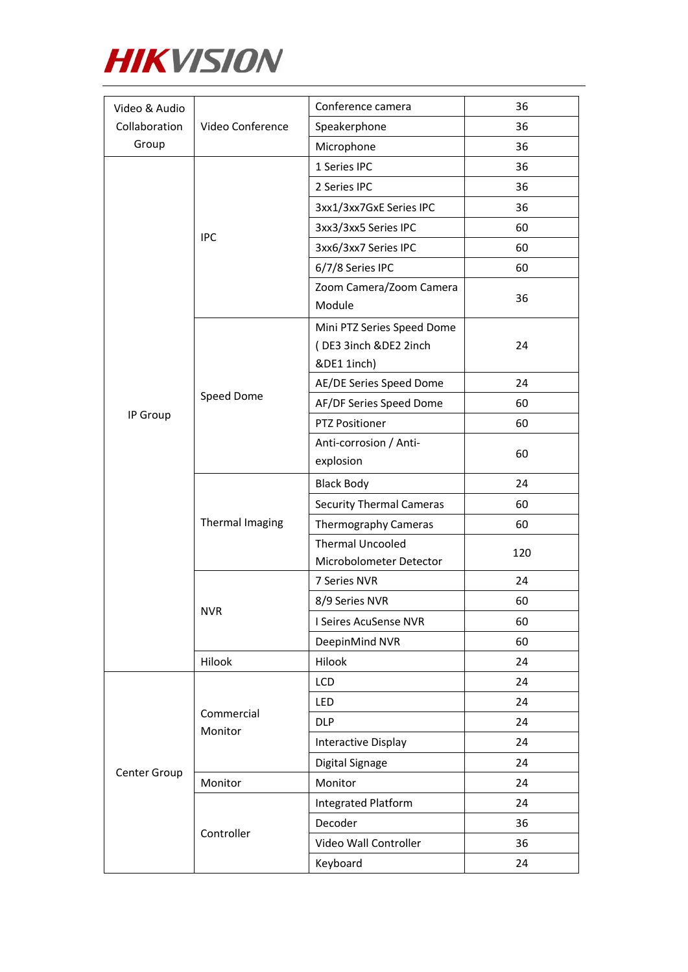

| Video & Audio<br>Collaboration<br>Group | Video Conference      | Conference camera                                                  | 36  |
|-----------------------------------------|-----------------------|--------------------------------------------------------------------|-----|
|                                         |                       | Speakerphone                                                       | 36  |
|                                         |                       | Microphone                                                         | 36  |
|                                         | <b>IPC</b>            | 1 Series IPC                                                       | 36  |
|                                         |                       | 2 Series IPC                                                       | 36  |
|                                         |                       | 3xx1/3xx7GxE Series IPC                                            | 36  |
|                                         |                       | 3xx3/3xx5 Series IPC                                               | 60  |
|                                         |                       | 3xx6/3xx7 Series IPC                                               | 60  |
|                                         |                       | 6/7/8 Series IPC                                                   | 60  |
|                                         |                       | Zoom Camera/Zoom Camera<br>Module                                  | 36  |
|                                         |                       | Mini PTZ Series Speed Dome<br>(DE3 3inch &DE2 2inch<br>&DE1 1inch) | 24  |
|                                         |                       | AE/DE Series Speed Dome                                            | 24  |
|                                         | Speed Dome            | AF/DF Series Speed Dome                                            | 60  |
| IP Group                                |                       | <b>PTZ Positioner</b>                                              | 60  |
|                                         |                       | Anti-corrosion / Anti-                                             |     |
|                                         |                       | explosion                                                          | 60  |
|                                         |                       | <b>Black Body</b>                                                  | 24  |
|                                         | Thermal Imaging       | <b>Security Thermal Cameras</b>                                    | 60  |
|                                         |                       | Thermography Cameras                                               | 60  |
|                                         |                       | <b>Thermal Uncooled</b>                                            | 120 |
|                                         |                       | Microbolometer Detector                                            |     |
|                                         | <b>NVR</b>            | 7 Series NVR                                                       | 24  |
|                                         |                       | 8/9 Series NVR                                                     | 60  |
|                                         |                       | I Seires AcuSense NVR                                              | 60  |
|                                         |                       | DeepinMind NVR                                                     | 60  |
|                                         | Hilook                | Hilook                                                             | 24  |
|                                         | Commercial<br>Monitor | LCD                                                                | 24  |
|                                         |                       | LED                                                                | 24  |
|                                         |                       | <b>DLP</b>                                                         | 24  |
| Center Group                            |                       | Interactive Display                                                | 24  |
|                                         |                       | Digital Signage                                                    | 24  |
|                                         | Monitor               | Monitor                                                            | 24  |
|                                         | Controller            | Integrated Platform                                                | 24  |
|                                         |                       | Decoder                                                            | 36  |
|                                         |                       | Video Wall Controller                                              | 36  |
|                                         |                       | Keyboard                                                           | 24  |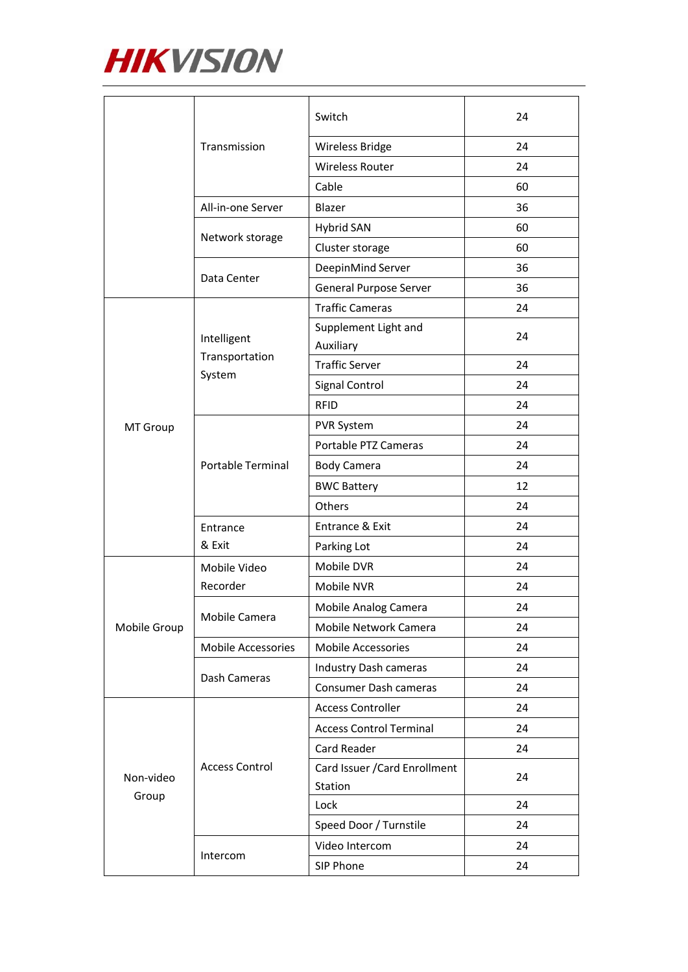

|                    | Transmission             | Switch                            | 24 |
|--------------------|--------------------------|-----------------------------------|----|
|                    |                          | Wireless Bridge                   | 24 |
|                    |                          | <b>Wireless Router</b>            | 24 |
|                    |                          | Cable                             | 60 |
|                    | All-in-one Server        | Blazer                            | 36 |
|                    | Network storage          | <b>Hybrid SAN</b>                 | 60 |
|                    |                          | Cluster storage                   | 60 |
|                    | Data Center              | DeepinMind Server                 | 36 |
|                    |                          | General Purpose Server            | 36 |
|                    | Intelligent              | <b>Traffic Cameras</b>            | 24 |
|                    |                          | Supplement Light and<br>Auxiliary | 24 |
|                    | Transportation           | <b>Traffic Server</b>             | 24 |
|                    | System                   | Signal Control                    | 24 |
|                    |                          | <b>RFID</b>                       | 24 |
| MT Group           |                          | PVR System                        | 24 |
|                    |                          | Portable PTZ Cameras              | 24 |
|                    | <b>Portable Terminal</b> | <b>Body Camera</b>                | 24 |
|                    |                          | <b>BWC Battery</b>                | 12 |
|                    |                          | Others                            | 24 |
|                    | Entrance                 | Entrance & Exit                   | 24 |
|                    | & Exit                   | Parking Lot                       | 24 |
|                    | Mobile Video             | Mobile DVR                        | 24 |
|                    | Recorder                 | Mobile NVR                        | 24 |
|                    | Mobile Camera            | Mobile Analog Camera              | 24 |
| Mobile Group       |                          | Mobile Network Camera             | 24 |
|                    | Mobile Accessories       | Mobile Accessories                | 24 |
|                    | Dash Cameras             | Industry Dash cameras             | 24 |
|                    |                          | Consumer Dash cameras             | 24 |
|                    | <b>Access Control</b>    | <b>Access Controller</b>          | 24 |
|                    |                          | <b>Access Control Terminal</b>    | 24 |
|                    |                          | Card Reader                       | 24 |
| Non-video<br>Group |                          | Card Issuer / Card Enrollment     | 24 |
|                    |                          | Station                           |    |
|                    |                          | Lock                              | 24 |
|                    |                          | Speed Door / Turnstile            | 24 |
|                    | Intercom                 | Video Intercom                    | 24 |
|                    |                          | SIP Phone                         | 24 |